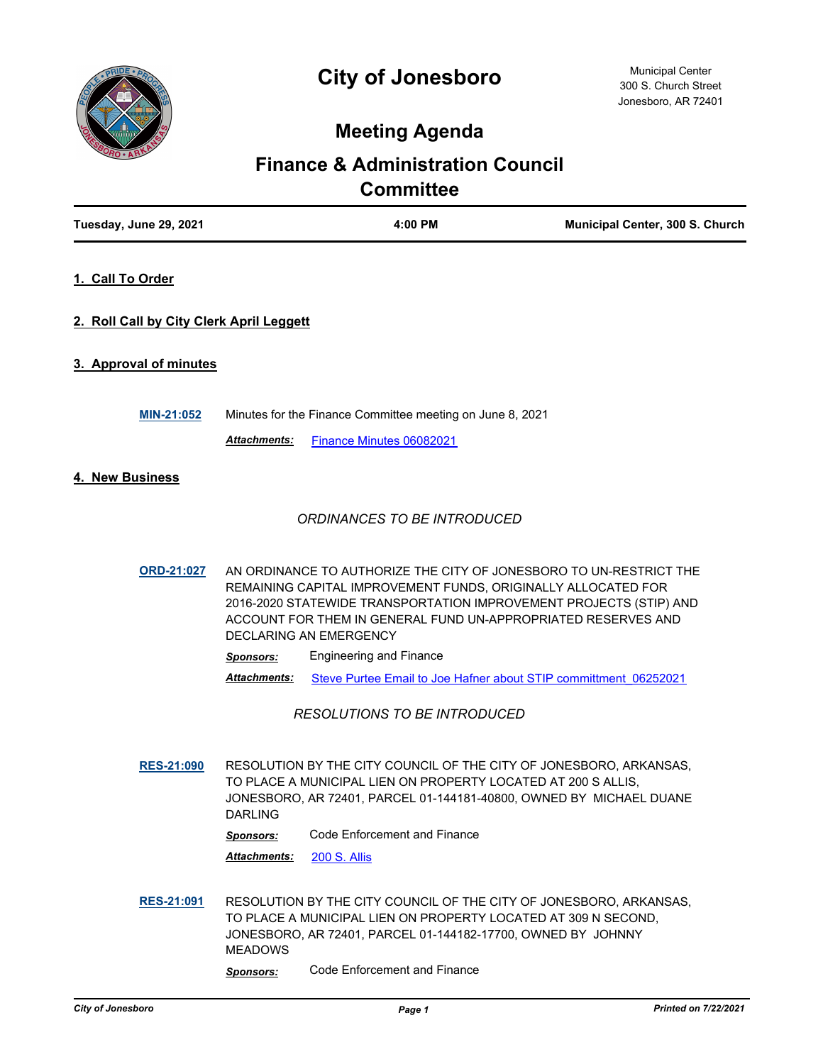

## **Meeting Agenda**

# **Finance & Administration Council Committee**

| Tuesday, June 29, 2021                   |                     | 4:00 PM                                                                                                                                                                                                                                                                                                     | Municipal Center, 300 S. Church |
|------------------------------------------|---------------------|-------------------------------------------------------------------------------------------------------------------------------------------------------------------------------------------------------------------------------------------------------------------------------------------------------------|---------------------------------|
| 1. Call To Order                         |                     |                                                                                                                                                                                                                                                                                                             |                                 |
| 2. Roll Call by City Clerk April Leggett |                     |                                                                                                                                                                                                                                                                                                             |                                 |
| 3. Approval of minutes                   |                     |                                                                                                                                                                                                                                                                                                             |                                 |
| MIN-21:052                               |                     | Minutes for the Finance Committee meeting on June 8, 2021                                                                                                                                                                                                                                                   |                                 |
|                                          | <b>Attachments:</b> | Finance Minutes 06082021                                                                                                                                                                                                                                                                                    |                                 |
| 4. New Business                          |                     |                                                                                                                                                                                                                                                                                                             |                                 |
|                                          |                     | ORDINANCES TO BE INTRODUCED                                                                                                                                                                                                                                                                                 |                                 |
| <b>ORD-21:027</b>                        |                     | AN ORDINANCE TO AUTHORIZE THE CITY OF JONESBORO TO UN-RESTRICT THE<br>REMAINING CAPITAL IMPROVEMENT FUNDS, ORIGINALLY ALLOCATED FOR<br>2016-2020 STATEWIDE TRANSPORTATION IMPROVEMENT PROJECTS (STIP) AND<br>ACCOUNT FOR THEM IN GENERAL FUND UN-APPROPRIATED RESERVES AND<br><b>DECLARING AN EMERGENCY</b> |                                 |
|                                          | <b>Sponsors:</b>    | <b>Engineering and Finance</b>                                                                                                                                                                                                                                                                              |                                 |
|                                          | Attachments:        | Steve Purtee Email to Joe Hafner about STIP committment 06252021                                                                                                                                                                                                                                            |                                 |
|                                          |                     | <b>RESOLUTIONS TO BE INTRODUCED</b>                                                                                                                                                                                                                                                                         |                                 |
| <b>RES-21:090</b>                        |                     | RESOLUTION BY THE CITY COUNCIL OF THE CITY OF JONESBORO, ARKANSAS,<br>TO PLACE A MUNICIPAL LIEN ON PROPERTY LOCATED AT 200 S ALLIS,                                                                                                                                                                         |                                 |

JONESBORO, AR 72401, PARCEL 01-144181-40800, OWNED BY MICHAEL DUANE DARLING

*Sponsors:* Code Enforcement and Finance

*Attachments:* [200 S. Allis](http://Jonesboro.legistar.com/gateway.aspx?M=F&ID=f0b3615e-ec2d-4caf-87ad-18c0e2a079b5.pdf)

**[RES-21:091](http://jonesboro.legistar.com/gateway.aspx?M=L&ID=21785)** RESOLUTION BY THE CITY COUNCIL OF THE CITY OF JONESBORO, ARKANSAS, TO PLACE A MUNICIPAL LIEN ON PROPERTY LOCATED AT 309 N SECOND, JONESBORO, AR 72401, PARCEL 01-144182-17700, OWNED BY JOHNNY MEADOWS

*Sponsors:* Code Enforcement and Finance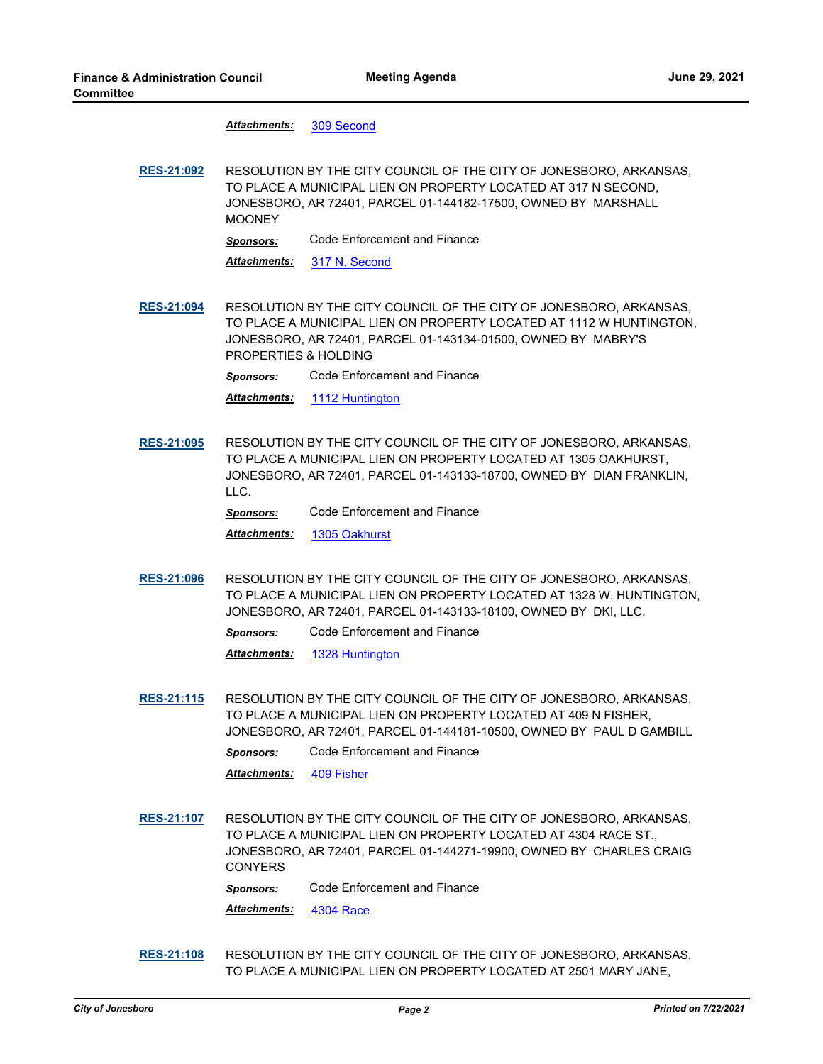Attachments: [309 Second](http://Jonesboro.legistar.com/gateway.aspx?M=F&ID=9151a12a-e158-4eca-b45e-496d4be31633.pdf)

**[RES-21:092](http://jonesboro.legistar.com/gateway.aspx?M=L&ID=21786)** RESOLUTION BY THE CITY COUNCIL OF THE CITY OF JONESBORO, ARKANSAS, TO PLACE A MUNICIPAL LIEN ON PROPERTY LOCATED AT 317 N SECOND, JONESBORO, AR 72401, PARCEL 01-144182-17500, OWNED BY MARSHALL MOONEY

*Sponsors:* Code Enforcement and Finance

*Attachments:* [317 N. Second](http://Jonesboro.legistar.com/gateway.aspx?M=F&ID=5d219bae-91c5-4d8d-8e5e-b71e7f24657c.pdf)

**[RES-21:094](http://jonesboro.legistar.com/gateway.aspx?M=L&ID=21788)** RESOLUTION BY THE CITY COUNCIL OF THE CITY OF JONESBORO, ARKANSAS, TO PLACE A MUNICIPAL LIEN ON PROPERTY LOCATED AT 1112 W HUNTINGTON, JONESBORO, AR 72401, PARCEL 01-143134-01500, OWNED BY MABRY'S PROPERTIES & HOLDING

*Sponsors:* Code Enforcement and Finance

*Attachments:* [1112 Huntington](http://Jonesboro.legistar.com/gateway.aspx?M=F&ID=a4389a2f-73a9-4833-a441-4d1968c286eb.pdf)

**[RES-21:095](http://jonesboro.legistar.com/gateway.aspx?M=L&ID=21789)** RESOLUTION BY THE CITY COUNCIL OF THE CITY OF JONESBORO, ARKANSAS, TO PLACE A MUNICIPAL LIEN ON PROPERTY LOCATED AT 1305 OAKHURST, JONESBORO, AR 72401, PARCEL 01-143133-18700, OWNED BY DIAN FRANKLIN, LLC.

*Sponsors:* Code Enforcement and Finance

*Attachments:* [1305 Oakhurst](http://Jonesboro.legistar.com/gateway.aspx?M=F&ID=a5c44995-aca5-437b-8504-0fb9c69a441e.pdf)

**[RES-21:096](http://jonesboro.legistar.com/gateway.aspx?M=L&ID=21790)** RESOLUTION BY THE CITY COUNCIL OF THE CITY OF JONESBORO, ARKANSAS, TO PLACE A MUNICIPAL LIEN ON PROPERTY LOCATED AT 1328 W. HUNTINGTON, JONESBORO, AR 72401, PARCEL 01-143133-18100, OWNED BY DKI, LLC.

*Sponsors:* Code Enforcement and Finance

*Attachments:* [1328 Huntington](http://Jonesboro.legistar.com/gateway.aspx?M=F&ID=c548b9cd-f7c2-42dc-865b-3f7b3c2727d5.pdf)

**[RES-21:115](http://jonesboro.legistar.com/gateway.aspx?M=L&ID=21791)** RESOLUTION BY THE CITY COUNCIL OF THE CITY OF JONESBORO, ARKANSAS, TO PLACE A MUNICIPAL LIEN ON PROPERTY LOCATED AT 409 N FISHER, JONESBORO, AR 72401, PARCEL 01-144181-10500, OWNED BY PAUL D GAMBILL

*Sponsors:* Code Enforcement and Finance

*Attachments:* [409 Fisher](http://Jonesboro.legistar.com/gateway.aspx?M=F&ID=609ecf8a-a08a-4626-9008-4b4132373c00.pdf)

**[RES-21:107](http://jonesboro.legistar.com/gateway.aspx?M=L&ID=21810)** RESOLUTION BY THE CITY COUNCIL OF THE CITY OF JONESBORO, ARKANSAS, TO PLACE A MUNICIPAL LIEN ON PROPERTY LOCATED AT 4304 RACE ST., JONESBORO, AR 72401, PARCEL 01-144271-19900, OWNED BY CHARLES CRAIG **CONYERS** 

*Sponsors:* Code Enforcement and Finance

*Attachments:* [4304 Race](http://Jonesboro.legistar.com/gateway.aspx?M=F&ID=73535c46-013c-401c-bba7-b21380d694eb.pdf)

**[RES-21:108](http://jonesboro.legistar.com/gateway.aspx?M=L&ID=21811)** RESOLUTION BY THE CITY COUNCIL OF THE CITY OF JONESBORO, ARKANSAS, TO PLACE A MUNICIPAL LIEN ON PROPERTY LOCATED AT 2501 MARY JANE,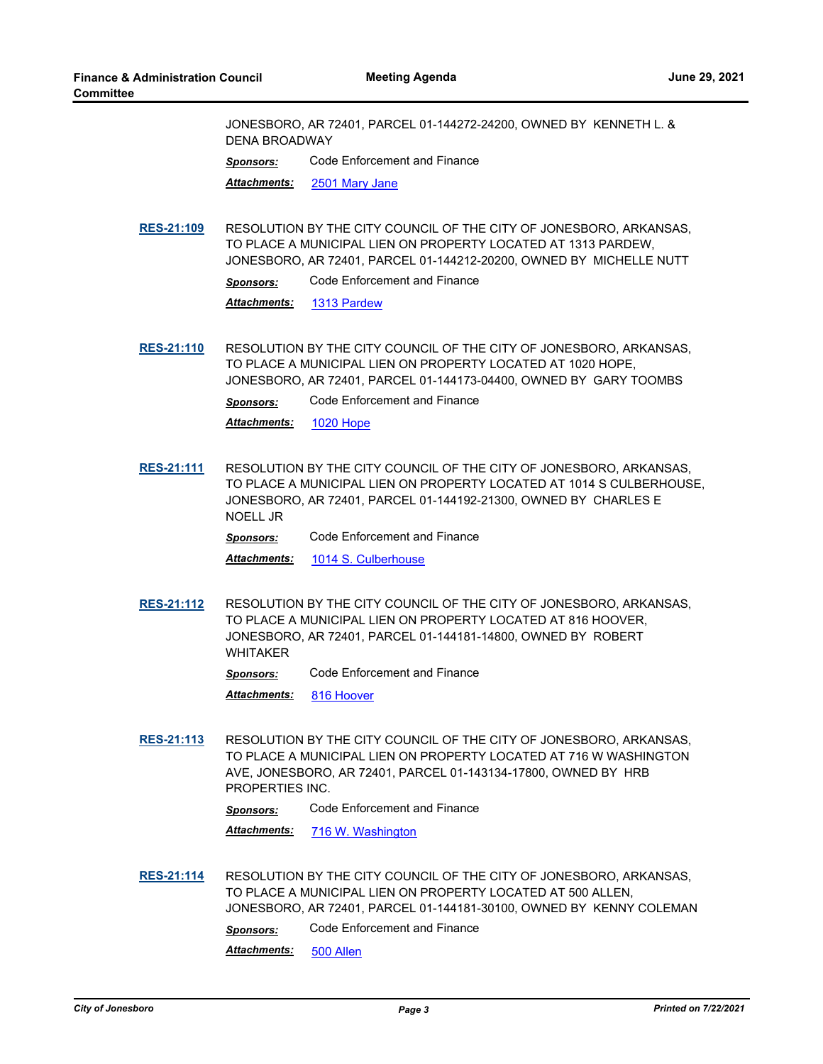JONESBORO, AR 72401, PARCEL 01-144272-24200, OWNED BY KENNETH L. & DENA BROADWAY

*Sponsors:* Code Enforcement and Finance

*Attachments:* [2501 Mary Jane](http://Jonesboro.legistar.com/gateway.aspx?M=F&ID=2336c840-1b1f-411e-b7a6-8d760d94fbba.pdf)

**[RES-21:109](http://jonesboro.legistar.com/gateway.aspx?M=L&ID=21812)** RESOLUTION BY THE CITY COUNCIL OF THE CITY OF JONESBORO, ARKANSAS, TO PLACE A MUNICIPAL LIEN ON PROPERTY LOCATED AT 1313 PARDEW, JONESBORO, AR 72401, PARCEL 01-144212-20200, OWNED BY MICHELLE NUTT

*Sponsors:* Code Enforcement and Finance

*Attachments:* [1313 Pardew](http://Jonesboro.legistar.com/gateway.aspx?M=F&ID=a0009824-616d-4860-8954-9609689bcd64.pdf)

**[RES-21:110](http://jonesboro.legistar.com/gateway.aspx?M=L&ID=21813)** RESOLUTION BY THE CITY COUNCIL OF THE CITY OF JONESBORO, ARKANSAS, TO PLACE A MUNICIPAL LIEN ON PROPERTY LOCATED AT 1020 HOPE, JONESBORO, AR 72401, PARCEL 01-144173-04400, OWNED BY GARY TOOMBS

*Sponsors:* Code Enforcement and Finance

*Attachments:* [1020 Hope](http://Jonesboro.legistar.com/gateway.aspx?M=F&ID=27d8f974-afa3-4105-82f9-8fc4e99343ac.pdf)

**[RES-21:111](http://jonesboro.legistar.com/gateway.aspx?M=L&ID=21814)** RESOLUTION BY THE CITY COUNCIL OF THE CITY OF JONESBORO, ARKANSAS, TO PLACE A MUNICIPAL LIEN ON PROPERTY LOCATED AT 1014 S CULBERHOUSE, JONESBORO, AR 72401, PARCEL 01-144192-21300, OWNED BY CHARLES E NOELL JR

*Sponsors:* Code Enforcement and Finance

*Attachments:* [1014 S. Culberhouse](http://Jonesboro.legistar.com/gateway.aspx?M=F&ID=bc7bbac8-9643-4251-8a19-4986559306fd.pdf)

**[RES-21:112](http://jonesboro.legistar.com/gateway.aspx?M=L&ID=21815)** RESOLUTION BY THE CITY COUNCIL OF THE CITY OF JONESBORO, ARKANSAS, TO PLACE A MUNICIPAL LIEN ON PROPERTY LOCATED AT 816 HOOVER, JONESBORO, AR 72401, PARCEL 01-144181-14800, OWNED BY ROBERT WHITAKER

*Sponsors:* Code Enforcement and Finance

*Attachments:* [816 Hoover](http://Jonesboro.legistar.com/gateway.aspx?M=F&ID=abdbb033-4060-420c-919a-da2095d17cac.pdf)

**[RES-21:113](http://jonesboro.legistar.com/gateway.aspx?M=L&ID=21816)** RESOLUTION BY THE CITY COUNCIL OF THE CITY OF JONESBORO, ARKANSAS, TO PLACE A MUNICIPAL LIEN ON PROPERTY LOCATED AT 716 W WASHINGTON AVE, JONESBORO, AR 72401, PARCEL 01-143134-17800, OWNED BY HRB PROPERTIES INC.

*Sponsors:* Code Enforcement and Finance

*Attachments:* [716 W. Washington](http://Jonesboro.legistar.com/gateway.aspx?M=F&ID=f3df7107-8d50-44a1-9bc6-beb7dcaa5c7c.pdf)

**[RES-21:114](http://jonesboro.legistar.com/gateway.aspx?M=L&ID=21817)** RESOLUTION BY THE CITY COUNCIL OF THE CITY OF JONESBORO, ARKANSAS, TO PLACE A MUNICIPAL LIEN ON PROPERTY LOCATED AT 500 ALLEN, JONESBORO, AR 72401, PARCEL 01-144181-30100, OWNED BY KENNY COLEMAN

*Sponsors:* Code Enforcement and Finance

*Attachments:* [500 Allen](http://Jonesboro.legistar.com/gateway.aspx?M=F&ID=b5a27c60-841c-404b-a47c-fc63cc8a4a12.pdf)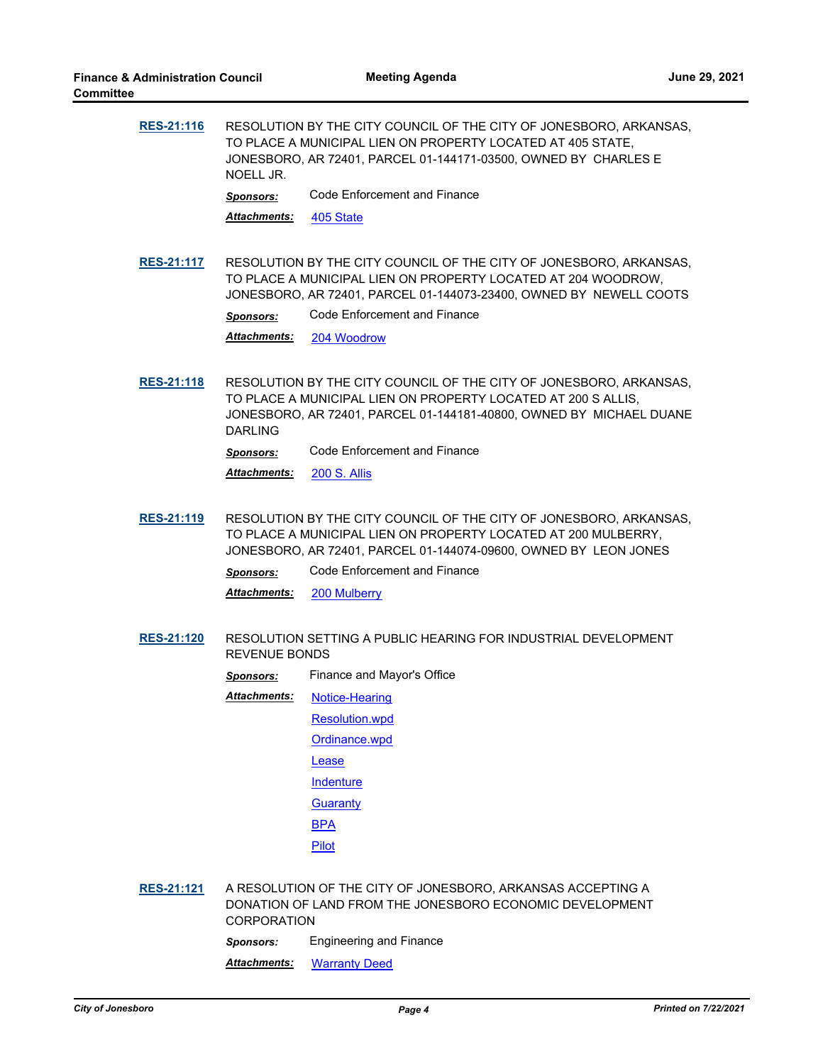| <b>RES-21:116</b> | RESOLUTION BY THE CITY COUNCIL OF THE CITY OF JONESBORO, ARKANSAS,<br>TO PLACE A MUNICIPAL LIEN ON PROPERTY LOCATED AT 405 STATE,<br>JONESBORO, AR 72401, PARCEL 01-144171-03500, OWNED BY CHARLES E<br>NOELL JR. |                              |  |
|-------------------|-------------------------------------------------------------------------------------------------------------------------------------------------------------------------------------------------------------------|------------------------------|--|
|                   | <b>Sponsors:</b>                                                                                                                                                                                                  | Code Enforcement and Finance |  |
|                   | <b>Attachments:</b>                                                                                                                                                                                               | 405 State                    |  |
|                   |                                                                                                                                                                                                                   |                              |  |

**[RES-21:117](http://jonesboro.legistar.com/gateway.aspx?M=L&ID=21819)** RESOLUTION BY THE CITY COUNCIL OF THE CITY OF JONESBORO, ARKANSAS, TO PLACE A MUNICIPAL LIEN ON PROPERTY LOCATED AT 204 WOODROW, JONESBORO, AR 72401, PARCEL 01-144073-23400, OWNED BY NEWELL COOTS

*Sponsors:* Code Enforcement and Finance

*Attachments:* [204 Woodrow](http://Jonesboro.legistar.com/gateway.aspx?M=F&ID=a3217733-f5f2-4b66-86df-a3058f8a23a6.pdf)

**[RES-21:118](http://jonesboro.legistar.com/gateway.aspx?M=L&ID=21820)** RESOLUTION BY THE CITY COUNCIL OF THE CITY OF JONESBORO, ARKANSAS, TO PLACE A MUNICIPAL LIEN ON PROPERTY LOCATED AT 200 S ALLIS, JONESBORO, AR 72401, PARCEL 01-144181-40800, OWNED BY MICHAEL DUANE DARLING

*Sponsors:* Code Enforcement and Finance

*Attachments:* [200 S. Allis](http://Jonesboro.legistar.com/gateway.aspx?M=F&ID=fbe6ec18-78c8-4f10-8b3c-6bcd20e161ef.pdf)

- **[RES-21:119](http://jonesboro.legistar.com/gateway.aspx?M=L&ID=21821)** RESOLUTION BY THE CITY COUNCIL OF THE CITY OF JONESBORO, ARKANSAS, TO PLACE A MUNICIPAL LIEN ON PROPERTY LOCATED AT 200 MULBERRY, JONESBORO, AR 72401, PARCEL 01-144074-09600, OWNED BY LEON JONES
	- *Sponsors:* Code Enforcement and Finance
	- *Attachments:* [200 Mulberry](http://Jonesboro.legistar.com/gateway.aspx?M=F&ID=ca5401bc-cce0-4ca7-8d05-92cdb731e801.pdf)
- **[RES-21:120](http://jonesboro.legistar.com/gateway.aspx?M=L&ID=21845)** RESOLUTION SETTING A PUBLIC HEARING FOR INDUSTRIAL DEVELOPMENT REVENUE BONDS

*Sponsors:* Finance and Mayor's Office

- [Notice-Hearing](http://Jonesboro.legistar.com/gateway.aspx?M=F&ID=b386e2c9-a070-435c-b682-705db6d64f48.docx) *Attachments:*
	- [Resolution.wpd](http://Jonesboro.legistar.com/gateway.aspx?M=F&ID=c501ded9-d988-4ff9-a910-88c76b731aac.docx)

[Ordinance.wpd](http://Jonesboro.legistar.com/gateway.aspx?M=F&ID=4e2da902-1e80-46cd-bad3-b3344edb4351.docx)

[Lease](http://Jonesboro.legistar.com/gateway.aspx?M=F&ID=50b50a97-9982-492f-84b4-2fa997360c83.pdf)

**[Indenture](http://Jonesboro.legistar.com/gateway.aspx?M=F&ID=0871e46b-875a-41e7-a8f2-c4d65b8fb222.pdf)** 

**[Guaranty](http://Jonesboro.legistar.com/gateway.aspx?M=F&ID=fb14d458-dfe1-4740-98a2-24c9f1dde1f2.pdf)** 

[BPA](http://Jonesboro.legistar.com/gateway.aspx?M=F&ID=167e49fa-ffa2-4273-895a-f1d2ea71efac.pdf)

[Pilot](http://Jonesboro.legistar.com/gateway.aspx?M=F&ID=bd684163-03d0-43d8-b0ed-1c447a42c61d.pdf)

**[RES-21:121](http://jonesboro.legistar.com/gateway.aspx?M=L&ID=21846)** A RESOLUTION OF THE CITY OF JONESBORO, ARKANSAS ACCEPTING A DONATION OF LAND FROM THE JONESBORO ECONOMIC DEVELOPMENT CORPORATION

*Sponsors:* Engineering and Finance

*Attachments:* [Warranty Deed](http://Jonesboro.legistar.com/gateway.aspx?M=F&ID=ad1db30f-dbd1-425a-8b17-93ff5e37c8bb.pdf)